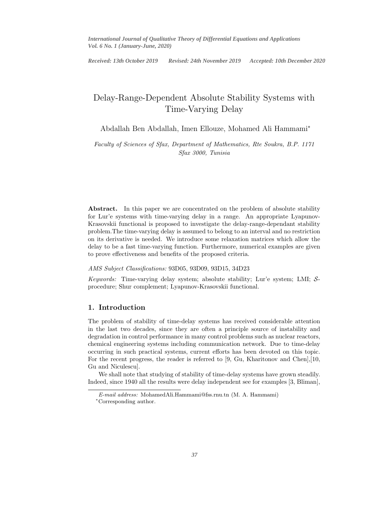*International Journal of Qualitative Theory of Differential Equations and Applications Vol. 6 No. 1 (January-June, 2020)*

 $\frac{1}{\sqrt{2}}$ *Received: 13th October 2019 Revised: 24th November 2019 Accepted: 10th December 2020*

# Delay-Range-Dependent Absolute Stability Systems with Time-Varying Delay

Abdallah Ben Abdallah, Imen Ellouze, Mohamed Ali Hammami<sup>∗</sup>

*Faculty of Sciences of Sfax, Department of Mathematics, Rte Soukra, B.P. 1171 Sfax 3000, Tunisia*

Abstract. In this paper we are concentrated on the problem of absolute stability for Lur'e systems with time-varying delay in a range. An appropriate Lyapunov-Krasovskii functional is proposed to investigate the delay-range-dependant stability problem.The time-varying delay is assumed to belong to an interval and no restriction on its derivative is needed. We introduce some relaxation matrices which allow the delay to be a fast time-varying function. Furthermore, numerical examples are given to prove effectiveness and benefits of the proposed criteria.

#### *AMS Subject Classifications:* 93D05, 93D09, 93D15, 34D23

*Keywords:* Time-varying delay system; absolute stability; Lur'e system; LMI; Sprocedure; Shur complement; Lyapunov-Krasovskii functional.

#### 1. Introduction

The problem of stability of time-delay systems has received considerable attention in the last two decades, since they are often a principle source of instability and degradation in control performance in many control problems such as nuclear reactors, chemical engineering systems including communication network. Due to time-delay occurring in such practical systems, current efforts has been devoted on this topic. For the recent progress, the reader is referred to [9, Gu, Kharitonov and Chen],[10, Gu and Niculescu].

We shall note that studying of stability of time-delay systems have grown steadily. Indeed, since 1940 all the results were delay independent see for examples [3, Bliman],

E-mail address: MohamedAli.Hammami@fss.rnu.tn (M. A. Hammami)

<sup>∗</sup>Corresponding author.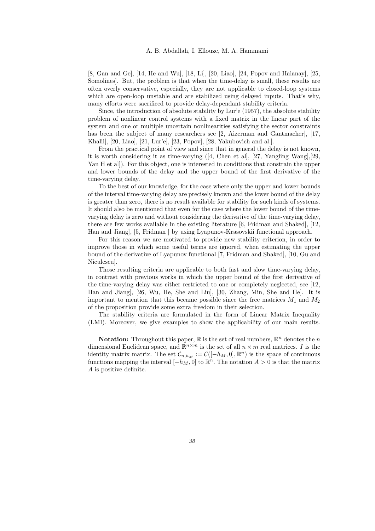[8, Gan and Ge], [14, He and Wu], [18, Li], [20, Liao], [24, Popov and Halanay], [25, Somolines]. But, the problem is that when the time-delay is small, these results are often overly conservative, especially, they are not applicable to closed-loop systems which are open-loop unstable and are stabilized using delayed inputs. That's why, many efforts were sacrificed to provide delay-dependant stability criteria.

Since, the introduction of absolute stability by Lur'e (1957), the absolute stability problem of nonlinear control systems with a fixed matrix in the linear part of the system and one or multiple uncertain nonlinearities satisfying the sector constraints has been the subject of many researchers see [2, Aizerman and Gantmacher], [17, Khalil], [20, Liao], [21, Lur'e], [23, Popov], [28, Yakubovich and al.].

From the practical point of view and since that in general the delay is not known, it is worth considering it as time-varying ([4, Chen et al], [27, Yangling Wang],[29, Yan H et al]). For this object, one is interested in conditions that constrain the upper and lower bounds of the delay and the upper bound of the first derivative of the time-varying delay.

To the best of our knowledge, for the case where only the upper and lower bounds of the interval time-varying delay are precisely known and the lower bound of the delay is greater than zero, there is no result available for stability for such kinds of systems. It should also be mentioned that even for the case where the lower bound of the timevarying delay is zero and without considering the derivative of the time-varying delay, there are few works available in the existing literature [6, Fridman and Shaked], [12, Han and Jiang], [5, Fridman ] by using Lyapunov-Krasovskii functional approach.

For this reason we are motivated to provide new stability criterion, in order to improve those in which some useful terms are ignored, when estimating the upper bound of the derivative of Lyapunov functional [7, Fridman and Shaked], [10, Gu and Niculescu].

Those resulting criteria are applicable to both fast and slow time-varying delay, in contrast with previous works in which the upper bound of the first derivative of the time-varying delay was either restricted to one or completely neglected, see [12, Han and Jiang], [26, Wu, He, She and Liu], [30, Zhang, Min, She and He]. It is important to mention that this became possible since the free matrices  $M_1$  and  $M_2$ of the proposition provide some extra freedom in their selection.

The stability criteria are formulated in the form of Linear Matrix Inequality (LMI). Moreover, we give examples to show the applicability of our main results.

**Notation:** Throughout this paper,  $\mathbb R$  is the set of real numbers,  $\mathbb R^n$  denotes the n dimensional Euclidean space, and  $\mathbb{R}^{n \times m}$  is the set of all  $n \times m$  real matrices. I is the identity matrix matrix. The set  $\mathcal{C}_{n,h_M} := \mathcal{C}([-h_M,0],\mathbb{R}^n)$  is the space of continuous functions mapping the interval  $[-h_M, 0]$  to  $\mathbb{R}^n$ . The notation  $A > 0$  is that the matrix A is positive definite.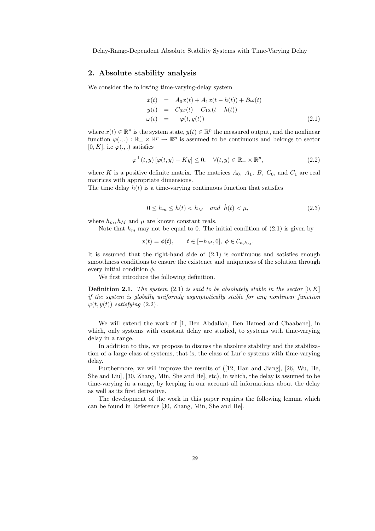### 2. Absolute stability analysis

We consider the following time-varying-delay system

$$
\dot{x}(t) = A_0 x(t) + A_1 x(t - h(t)) + B\omega(t)
$$
  
\n
$$
y(t) = C_0 x(t) + C_1 x(t - h(t))
$$
  
\n
$$
\omega(t) = -\varphi(t, y(t))
$$
\n(2.1)

where  $x(t) \in \mathbb{R}^n$  is the system state,  $y(t) \in \mathbb{R}^p$  the measured output, and the nonlinear function  $\varphi(.,.) : \mathbb{R}_+ \times \mathbb{R}^p \to \mathbb{R}^p$  is assumed to be continuous and belongs to sector  $[0, K]$ , i.e  $\varphi(.,.)$  satisfies

$$
\varphi^{\top}(t, y) [\varphi(t, y) - Ky] \le 0, \quad \forall (t, y) \in \mathbb{R}_{+} \times \mathbb{R}^{p}, \tag{2.2}
$$

where K is a positive definite matrix. The matrices  $A_0$ ,  $A_1$ ,  $B$ ,  $C_0$ , and  $C_1$  are real matrices with appropriate dimensions.

The time delay  $h(t)$  is a time-varying continuous function that satisfies

$$
0 \le h_m \le h(t) < h_M \quad \text{and} \quad h(t) < \mu,\tag{2.3}
$$

where  $h_m, h_M$  and  $\mu$  are known constant reals.

Note that  $h_m$  may not be equal to 0. The initial condition of  $(2.1)$  is given by

$$
x(t) = \phi(t), \qquad t \in [-h_M, 0], \ \phi \in \mathcal{C}_{n, h_M}.
$$

It is assumed that the right-hand side of (2.1) is continuous and satisfies enough smoothness conditions to ensure the existence and uniqueness of the solution through every initial condition  $\phi$ .

We first introduce the following definition.

**Definition 2.1.** *The system*  $(2.1)$  *is said to be absolutely stable in the sector*  $[0, K]$ *if the system is globally uniformly asymptotically stable for any nonlinear function*  $\varphi(t,y(t))$  *satisfying* (2.2).

We will extend the work of [1, Ben Abdallah, Ben Hamed and Chaabane], in which, only systems with constant delay are studied, to systems with time-varying delay in a range.

In addition to this, we propose to discuss the absolute stability and the stabilization of a large class of systems, that is, the class of Lur'e systems with time-varying delay.

Furthermore, we will improve the results of ([12, Han and Jiang], [26, Wu, He, She and Liu], [30, Zhang, Min, She and He], etc), in which, the delay is assumed to be time-varying in a range, by keeping in our account all informations about the delay as well as its first derivative.

The development of the work in this paper requires the following lemma which can be found in Reference [30, Zhang, Min, She and He].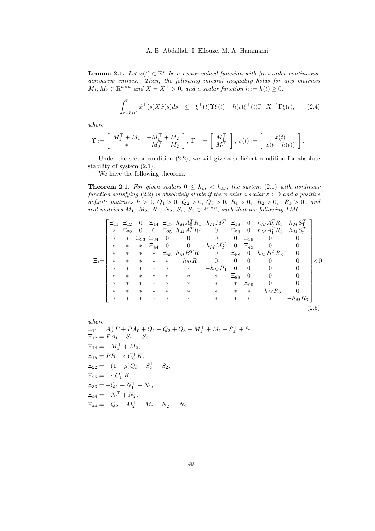#### 24 A. B. Abdallah, I. Ellouze, M. A. Hammami

**Lemma 2.1.** Let  $x(t) \in \mathbb{R}^n$  be a vector-valued function with first-order continuous*derivative entries. Then, the following integral inequality holds for any matrices*  $M_1, M_2 \in \mathbb{R}^{n \times n}$  and  $X = X^{\top} > 0$ , and a scalar function  $h := h(t) \geq 0$ :

$$
-\int_{t-h(t)}^{t} \dot{x}^{\top}(s)X\dot{x}(s)ds \leq \xi^{\top}(t)\Upsilon\xi(t) + h(t)\xi^{\top}(t)\Gamma^{\top}X^{-1}\Gamma\xi(t), \qquad (2.4)
$$

*where*

$$
\Upsilon := \left[ \begin{array}{cc} M_1^\top + M_1 & -M_1^\top + M_2 \\ \ast & -M_2^\top - M_2 \end{array} \right], \; \Gamma^\top := \left[ \begin{array}{c} M_1^\top \\ M_2^\top \end{array} \right], \; \xi(t) := \left[ \begin{array}{c} x(t) \\ x(t-h(t)) \end{array} \right].
$$

Under the sector condition (2.2), we will give a sufficient condition for absolute stability of system (2.1).

We have the following theorem.

**Theorem 2.1.** For given scalars  $0 \leq h_m < h_M$ , the system (2.1) with nonlinear *function satisfying* (2.2) *is absolutely stable if there exist a scalar*  $\varepsilon > 0$  *and a positive definite matrices*  $P > 0$ ,  $Q_1 > 0$ ,  $Q_2 > 0$ ,  $Q_3 > 0$ ,  $R_1 > 0$ ,  $R_2 > 0$ ,  $R_3 > 0$ , and *real matrices*  $M_1$ ,  $M_2$ ,  $N_1$ ,  $N_2$ ,  $S_1$ ,  $S_2 \in \mathbb{R}^{n \times n}$ , *such that the following LMI* 

$$
\Xi_{1} = \begin{bmatrix}\n\Xi_{11} & \Xi_{12} & 0 & \Xi_{14} & \Xi_{15} & h_{M}A_{0}^{T}R_{1} & h_{M}M_{1}^{T} & \Xi_{18} & 0 & h_{M}A_{0}^{T}R_{3} & h_{M}S_{1}^{T} \\
* & \Xi_{22} & 0 & 0 & \Xi_{25} & h_{M}A_{1}^{T}R_{1} & 0 & \Xi_{28} & 0 & h_{M}A_{1}^{T}R_{3} & h_{M}S_{2}^{T} \\
* & * & \Xi_{33} & \Xi_{34} & 0 & 0 & 0 & \Xi_{39} & 0 & 0 \\
* & * & * & \Xi_{44} & 0 & 0 & h_{M}M_{2}^{T} & 0 & \Xi_{49} & 0 & 0 \\
* & * & * & * & \Xi_{55} & h_{M}B^{T}R_{1} & 0 & \Xi_{58} & 0 & h_{M}B^{T}R_{3} & 0 \\
* & * & * & * & * & -h_{M}R_{1} & 0 & 0 & 0 & 0 & 0 \\
* & * & * & * & * & * & * & \Xi_{88} & 0 & 0 & 0 \\
* & * & * & * & * & * & * & \Xi_{99} & 0 & 0 \\
* & * & * & * & * & * & * & * & * & -h_{M}R_{3} & 0 \\
* & * & * & * & * & * & * & * & * & * & -h_{M}R_{3}\n\end{bmatrix} < 0
$$
\n
$$
\tag{2.5}
$$

where  
\n
$$
\Xi_{11} = A_0^{\top} P + P A_0 + Q_1 + Q_2 + Q_3 + M_1^{\top} + M_1 + S_1^{\top} + S_1,
$$
\n
$$
\Xi_{12} = P A_1 - S_1^{\top} + S_2,
$$
\n
$$
\Xi_{14} = -M_1^{\top} + M_2,
$$
\n
$$
\Xi_{15} = P B - \epsilon C_0^{\top} K,
$$
\n
$$
\Xi_{22} = -(1 - \mu) Q_3 - S_2^{\top} - S_2,
$$
\n
$$
\Xi_{25} = -\epsilon C_1^{\top} K,
$$
\n
$$
\Xi_{33} = -Q_1 + N_1^{\top} + N_1,
$$
\n
$$
\Xi_{34} = -N_1^{\top} + N_2,
$$
\n
$$
\Xi_{44} = -Q_2 - M_2^{\top} - M_2 - N_2^{\top} - N_2,
$$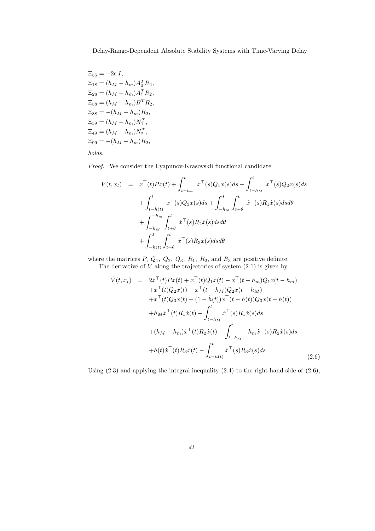$\Xi_{55} = -2\epsilon I$ ,  $\Xi_{18} = (h_M - h_m)A_0^T R_2,$  $\Xi_{28} = (h_M - h_m)A_1^T R_2,$  $\Xi_{58} = (h_M - h_m)B^T R_2,$  $\Xi_{88} = -(h_M - h_m)R_2,$  $\Xi_{39} = (h_M - h_m)N_1^T,$  $\Xi_{49} = (h_M - h_m)N_2^T,$  $\Xi_{99} = -(h_M - h_m)R_2,$ 

*holds.*

*Proof.* We consider the Lyapunov-Krasovskii functional candidate

$$
V(t, x_t) = x^{\top}(t)Px(t) + \int_{t-h_m}^t x^{\top}(s)Q_1x(s)ds + \int_{t-h_M}^t x^{\top}(s)Q_2x(s)ds
$$
  
+ 
$$
\int_{t-h(t)}^t x^{\top}(s)Q_3x(s)ds + \int_{-h_M}^0 \int_{t+\theta}^t \dot{x}^{\top}(s)R_1\dot{x}(s)dsd\theta
$$
  
+ 
$$
\int_{-h_M}^{-h_m} \int_{t+\theta}^t \dot{x}^{\top}(s)R_2\dot{x}(s)dsd\theta
$$
  
+ 
$$
\int_{-h(t)}^0 \int_{t+\theta}^t \dot{x}^{\top}(s)R_3\dot{x}(s)dsd\theta
$$

where the matrices  $P$ ,  $Q_1$ ,  $Q_2$ ,  $Q_3$ ,  $R_1$ ,  $R_2$ , and  $R_3$  are positive definite.

The derivative of  $V$  along the trajectories of system  $(2.1)$  is given by

$$
\dot{V}(t, x_t) = 2\dot{x}^\top(t)Px(t) + x^\top(t)Q_1x(t) - x^\top(t - h_m)Q_1x(t - h_m) \n+ x^\top(t)Q_2x(t) - x^\top(t - h_M)Q_2x(t - h_M) \n+ x^\top(t)Q_3x(t) - (1 - \dot{h}(t))x^\top(t - h(t))Q_3x(t - h(t)) \n+ h_M\dot{x}^\top(t)R_1\dot{x}(t) - \int_{t - h_M}^t \dot{x}^\top(s)R_1\dot{x}(s)ds \n+ (h_M - h_m)\dot{x}^\top(t)R_2\dot{x}(t) - \int_{t - h_M}^t -h_m\dot{x}^\top(s)R_2\dot{x}(s)ds \n+ h(t)\dot{x}^\top(t)R_3\dot{x}(t) - \int_{t - h(t)}^t \dot{x}^\top(s)R_3\dot{x}(s)ds
$$
\n(2.6)

Using  $(2.3)$  and applying the integral inequality  $(2.4)$  to the right-hand side of  $(2.6)$ ,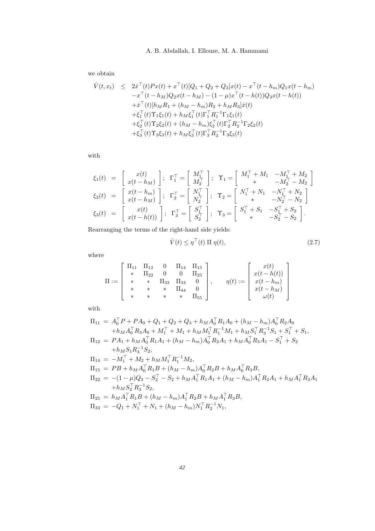## 26 A. B. Abdallah, I. Ellouze, M. A. Hammami

we obtain

$$
\dot{V}(t, x_t) \leq 2\dot{x}^{\top}(t)Px(t) + x^{\top}(t)[Q_1 + Q_2 + Q_3]x(t) - x^{\top}(t - h_m)Q_1x(t - h_m) \n- x^{\top}(t - h_M)Q_2x(t - h_M) - (1 - \mu)x^{\top}(t - h(t))Q_3x(t - h(t)) \n+ \dot{x}^{\top}(t)[h_M R_1 + (h_M - h_m)R_2 + h_M R_3]\dot{x}(t) \n+ \xi_1^{\top}(t)\Upsilon_1\xi_1(t) + h_M\xi_1^{\top}(t)\Gamma_1^{\top}R_1^{-1}\Gamma_1\xi_1(t) \n+ \xi_2^{\top}(t)\Upsilon_2\xi_2(t) + (h_M - h_m)\xi_2^{\top}(t)\Gamma_2^{\top}R_2^{-1}\Gamma_2\xi_2(t) \n+ \xi_3^{\top}(t)\Upsilon_3\xi_3(t) + h_M\xi_3^{\top}(t)\Gamma_3^{\top}R_3^{-1}\Gamma_3\xi_3(t)
$$

with

$$
\xi_1(t) = \begin{bmatrix} x(t) \\ x(t-h_M) \end{bmatrix}; \quad \Gamma_1^{\top} = \begin{bmatrix} M_1^{\top} \\ M_2^{\top} \end{bmatrix}; \quad \Upsilon_1 = \begin{bmatrix} M_1^{\top} + M_1 & -M_1^{\top} + M_2 \\ * & -M_2^{\top} - M_2 \end{bmatrix}
$$

$$
\xi_2(t) = \begin{bmatrix} x(t-h_m) \\ x(t-h_M) \end{bmatrix}; \quad \Gamma_2^{\top} = \begin{bmatrix} N_1^{\top} \\ N_2^{\top} \end{bmatrix}; \quad \Upsilon_2 = \begin{bmatrix} N_1^{\top} + N_1 & -N_1^{\top} + N_2 \\ * & -N_2^{\top} - N_2 \end{bmatrix}
$$

$$
\xi_3(t) = \begin{bmatrix} x(t) \\ x(t-h(t)) \end{bmatrix}; \quad \Gamma_3^{\top} = \begin{bmatrix} S_1^{\top} \\ S_2^{\top} \end{bmatrix}; \quad \Upsilon_3 = \begin{bmatrix} S_1^{\top} + S_1 & -S_1^{\top} + S_2 \\ * & -S_2^{\top} - S_2 \end{bmatrix}.
$$

Rearranging the terms of the right-hand side yields:

$$
\dot{V}(t) \le \eta^{\top}(t) \Pi \eta(t), \tag{2.7}
$$

where

$$
\Pi := \left[\begin{array}{cccc} \Pi_{11} & \Pi_{12} & 0 & \Pi_{14} & \Pi_{15} \\ * & \Pi_{22} & 0 & 0 & \Pi_{25} \\ * & * & \Pi_{33} & \Pi_{34} & 0 \\ * & * & * & \Pi_{44} & 0 \\ * & * & * & * & \Pi_{55} \end{array}\right], \qquad \eta(t) := \left[\begin{array}{c} x(t) \\ x(t-h(t)) \\ x(t-h_m) \\ x(t-h_M) \\ \omega(t) \end{array}\right]
$$

with

$$
\Pi_{11} = A_0^{\top} P + P A_0 + Q_1 + Q_2 + Q_3 + h_M A_0^{\top} R_1 A_0 + (h_M - h_m) A_0^{\top} R_2 A_0 \n+ h_M A_0^{\top} R_3 A_0 + M_1^{\top} + M_1 + h_M M_1^{\top} R_1^{-1} M_1 + h_M S_1^{\top} R_3^{-1} S_1 + S_1^{\top} + S_1, \n\Pi_{12} = P A_1 + h_M A_0^{\top} R_1 A_1 + (h_M - h_m) A_0^{\top} R_2 A_1 + h_M A_0^{\top} R_3 A_1 - S_1^{\top} + S_2 \n+ h_M S_1 R_3^{-1} S_2, \n\Pi_{14} = -M_1^{\top} + M_2 + h_M M_1^{\top} R_1^{-1} M_2, \n\Pi_{15} = P B + h_M A_0^{\top} R_1 B + (h_M - h_m) A_0^{\top} R_2 B + h_M A_0^{\top} R_3 B, \n\Pi_{22} = -(1 - \mu) Q_3 - S_2^{\top} - S_2 + h_M A_1^{\top} R_1 A_1 + (h_M - h_m) A_1^{\top} R_2 A_1 + h_M A_1^{\top} R_3 A_1 \n+ h_M S_2^{\top} R_3^{-1} S_2, \n\Pi_{25} = h_M A_1^{\top} R_1 B + (h_M - h_m) A_1^{\top} R_2 B + h_M A_1^{\top} R_3 B, \n\Pi_{33} = -Q_1 + N_1^{\top} + N_1 + (h_M - h_m) N_1^{\top} R_2^{-1} N_1,
$$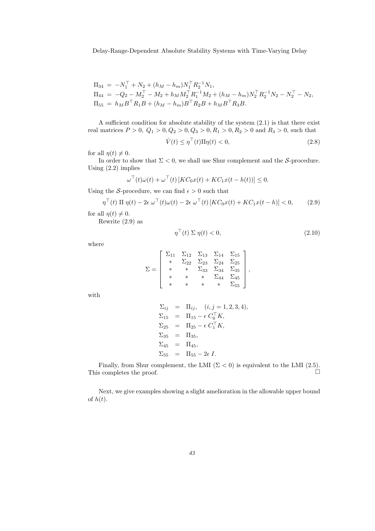$$
\begin{aligned} \Pi_{34} &= \ -N_1^\top + N_2 + (h_M - h_m) N_1^\top R_2^{-1} N_1, \\ \Pi_{44} &= \ -Q_2 - M_2^\top - M_2 + h_M M_2^\top R_1^{-1} M_2 + (h_M - h_m) N_2^\top R_2^{-1} N_2 - N_2^\top - N_2, \\ \Pi_{55} &= \ h_M B^\top R_1 B + (h_M - h_m) B^\top R_2 B + h_M B^\top R_3 B. \end{aligned}
$$

A sufficient condition for absolute stability of the system (2.1) is that there exist real matrices  $P > 0$ ,  $Q_1 > 0$ ,  $Q_2 > 0$ ,  $Q_3 > 0$ ,  $R_1 > 0$ ,  $R_2 > 0$  and  $R_3 > 0$ , such that  $\dot{V}(t) \le \eta^{\top}(t)\Pi\eta(t) < 0,$ (2.8)

for all 
$$
\eta(t) \neq 0
$$
.

In order to show that  $\Sigma < 0$ , we shall use Shur complement and the S-procedure. Using (2.2) implies

$$
\omega^{\top}(t)\omega(t) + \omega^{\top}(t)[KC_0x(t) + KC_1x(t - h(t))] \leq 0.
$$

Using the S-procedure, we can find  $\epsilon > 0$  such that

$$
\eta^{\top}(t) \Pi \eta(t) - 2\epsilon \omega^{\top}(t)\omega(t) - 2\epsilon \omega^{\top}(t) \left[ KC_0 x(t) + KC_1 x(t-h) \right] < 0, \tag{2.9}
$$

for all  $\eta(t) \neq 0$ .

Rewrite (2.9) as

$$
\eta^{\top}(t) \Sigma \eta(t) < 0,\tag{2.10}
$$

where

$$
\Sigma = \left[\begin{array}{ccccc} \Sigma_{11} & \Sigma_{12} & \Sigma_{13} & \Sigma_{14} & \Sigma_{15} \\ * & \Sigma_{22} & \Sigma_{23} & \Sigma_{24} & \Sigma_{25} \\ * & * & \Sigma_{33} & \Sigma_{34} & \Sigma_{35} \\ * & * & * & \Sigma_{44} & \Sigma_{45} \\ * & * & * & * & \Sigma_{55} \end{array}\right],
$$

with

$$
\Sigma_{ij} = \Pi_{ij}, \quad (i, j = 1, 2, 3, 4), \n\Sigma_{15} = \Pi_{15} - \epsilon C_0^{\top} K, \n\Sigma_{25} = \Pi_{25} - \epsilon C_1^{\top} K, \n\Sigma_{35} = \Pi_{35}, \n\Sigma_{45} = \Pi_{45}, \n\Sigma_{55} = \Pi_{55} - 2\epsilon I.
$$

Finally, from Shur complement, the LMI ( $\Sigma < 0$ ) is equivalent to the LMI (2.5).<br>s completes the proof This completes the proof.

Next, we give examples showing a slight amelioration in the allowable upper bound of  $h(t)$ .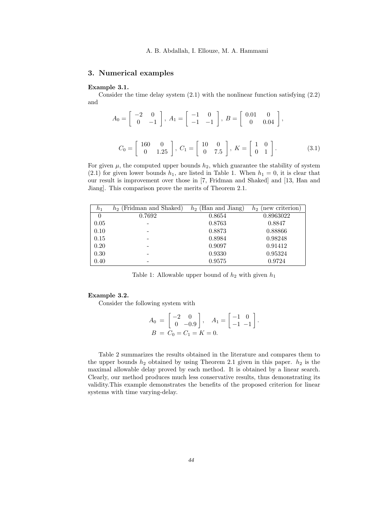## 3. Numerical examples

#### Example 3.1.

Consider the time delay system  $(2.1)$  with the nonlinear function satisfying  $(2.2)$ and

$$
A_0 = \begin{bmatrix} -2 & 0 \\ 0 & -1 \end{bmatrix}, A_1 = \begin{bmatrix} -1 & 0 \\ -1 & -1 \end{bmatrix}, B = \begin{bmatrix} 0.01 & 0 \\ 0 & 0.04 \end{bmatrix},
$$
  

$$
C_0 = \begin{bmatrix} 160 & 0 \\ 0 & 1.25 \end{bmatrix}, C_1 = \begin{bmatrix} 10 & 0 \\ 0 & 7.5 \end{bmatrix}, K = \begin{bmatrix} 1 & 0 \\ 0 & 1 \end{bmatrix}.
$$
 (3.1)

For given  $\mu$ , the computed upper bounds  $h_2$ , which guarantee the stability of system (2.1) for given lower bounds  $h_1$ , are listed in Table 1. When  $h_1 = 0$ , it is clear that our result is improvement over those in [7, Fridman and Shaked] and [13, Han and Jiang]. This comparison prove the merits of Theorem 2.1.

| $h_1$ | $h_2$ (Fridman and Shaked) | $h_2$ (Han and Jiang) | (new criterion)<br>$h_2$ |
|-------|----------------------------|-----------------------|--------------------------|
|       | 0.7692                     | 0.8654                | 0.8963022                |
| 0.05  |                            | 0.8763                | 0.8847                   |
| 0.10  |                            | 0.8873                | 0.88866                  |
| 0.15  |                            | 0.8984                | 0.98248                  |
| 0.20  |                            | 0.9097                | 0.91412                  |
| 0.30  |                            | 0.9330                | 0.95324                  |
| 0.40  |                            | 0.9575                | 0.9724                   |

Table 1: Allowable upper bound of  $h_2$  with given  $h_1$ 

#### Example 3.2.

Consider the following system with

$$
A_0 = \begin{bmatrix} -2 & 0 \\ 0 & -0.9 \end{bmatrix}, A_1 = \begin{bmatrix} -1 & 0 \\ -1 & -1 \end{bmatrix}.
$$
  

$$
B = C_0 = C_1 = K = 0.
$$

Table 2 summarizes the results obtained in the literature and compares them to the upper bounds  $h_2$  obtained by using Theorem 2.1 given in this paper.  $h_2$  is the maximal allowable delay proved by each method. It is obtained by a linear search. Clearly, our method produces much less conservative results, thus demonstrating its validity.This example demonstrates the benefits of the proposed criterion for linear systems with time varying-delay.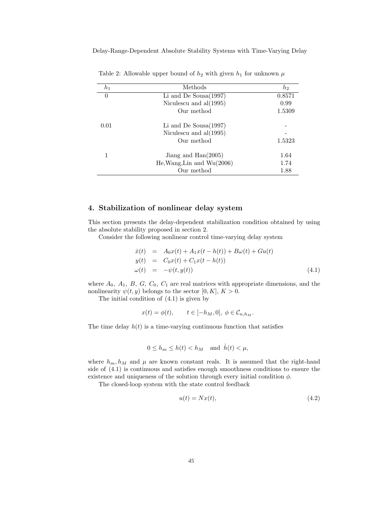| $h_1$ | Methods                        | $h_2$  |
|-------|--------------------------------|--------|
| 0     | Li and De Sousa $(1997)$       | 0.8571 |
|       | Niculascu and $al(1995)$       | 0.99   |
|       | Our method                     | 1.5309 |
| 0.01  | Li and De Sousa $(1997)$       |        |
|       | Niculascu and $al(1995)$       |        |
|       | Our method                     | 1.5323 |
|       | Jiang and $\text{Han}(2005)$   | 1.64   |
|       | $He, Wang, Lin$ and $Wu(2006)$ | 1.74   |
|       | Our method                     | 1.88   |
|       |                                |        |

Table 2: Allowable upper bound of  $h_2$  with given  $h_1$  for unknown  $\mu$ 

## 4. Stabilization of nonlinear delay system

This section presents the delay-dependent stabilization condition obtained by using the absolute stability proposed in section 2.

Consider the following nonlinear control time-varying delay system

$$
\dot{x}(t) = A_0 x(t) + A_1 x(t - h(t)) + B\omega(t) + G u(t) \n y(t) = C_0 x(t) + C_1 x(t - h(t)) \n \omega(t) = -\psi(t, y(t))
$$
\n(4.1)

where  $A_0$ ,  $A_1$ ,  $B$ ,  $G$ ,  $C_0$ ,  $C_1$  are real matrices with appropriate dimensions, and the nonlinearity  $\psi(t, y)$  belongs to the sector [0, K],  $K > 0$ .

The initial condition of (4.1) is given by

$$
x(t) = \phi(t), \qquad t \in [-h_M, 0], \ \phi \in \mathcal{C}_{n, h_M}.
$$

The time delay  $h(t)$  is a time-varying continuous function that satisfies

$$
0 \le h_m \le h(t) < h_M \quad \text{and} \quad h(t) < \mu,
$$

where  $h_m, h_M$  and  $\mu$  are known constant reals. It is assumed that the right-hand side of (4.1) is continuous and satisfies enough smoothness conditions to ensure the existence and uniqueness of the solution through every initial condition  $\phi$ .

The closed-loop system with the state control feedback

$$
u(t) = Nx(t),\tag{4.2}
$$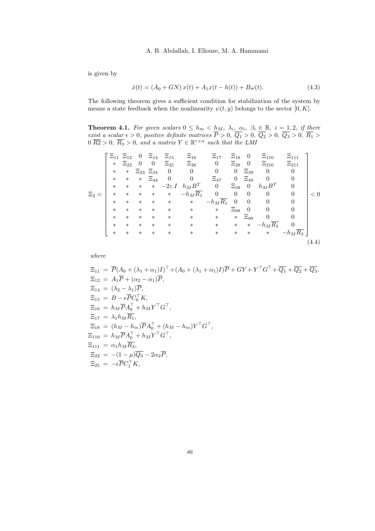is given by

$$
\dot{x}(t) = (A_0 + GN)x(t) + A_1x(t - h(t)) + B\omega(t).
$$
\n(4.3)

The following theorem gives a sufficient condition for stabilization of the system by means a state feedback when the nonlinearity  $\psi(t, y)$  belongs to the sector  $[0, K]$ .

**Theorem 4.1.** For given scalars  $0 \leq h_m < h_M$ ,  $\lambda_i$ ,  $\alpha_i$ ,  $\beta_i \in \mathbb{R}$ ,  $i = 1, 2$ , if there *exist a scalar*  $\epsilon > 0$ , positive definite matrices  $\overline{P} > 0$ ,  $\overline{Q_1} > 0$ ,  $\overline{Q_2} > 0$ ,  $\overline{Q_3} > 0$ ,  $\overline{R_1} >$  $0 \overline{R2} > 0$ ,  $\overline{R_3} > 0$ , and a matrix  $Y \in \mathbb{R}^{r \times n}$  such that the LMI

$$
\Xi_{2} = \begin{bmatrix}\n\Xi_{11} & \Xi_{12} & 0 & \Xi_{14} & \Xi_{15} & \Xi_{16} & \Xi_{17} & \Xi_{18} & 0 & \Xi_{110} & \Xi_{111} \\
\ast & \Xi_{22} & 0 & 0 & \Xi_{25} & \Xi_{26} & 0 & \Xi_{28} & 0 & \Xi_{210} & \Xi_{211} \\
\ast & \ast & \Xi_{33} & \Xi_{34} & 0 & 0 & 0 & 0 & \Xi_{39} & 0 & 0 \\
\ast & \ast & \ast & \Xi_{44} & 0 & 0 & \Xi_{47} & 0 & \Xi_{49} & 0 & 0 \\
\ast & \ast & \ast & \ast & \ast & -h_M \overline{R_1} & 0 & 0 & 0 & 0 & 0 \\
\ast & \ast & \ast & \ast & \ast & \ast & \ast & -h_M \overline{R_1} & 0 & 0 & 0 & 0 & 0 \\
\ast & \ast & \ast & \ast & \ast & \ast & \ast & \ast & \Xi_{88} & 0 & 0 & 0 \\
\ast & \ast & \ast & \ast & \ast & \ast & \ast & \ast & \ast & \Xi_{99} & 0 & 0 \\
\ast & \ast & \ast & \ast & \ast & \ast & \ast & \ast & \ast & \ast & \ast & -h_M \overline{R_3} & 0 \\
\ast & \ast & \ast & \ast & \ast & \ast & \ast & \ast & \ast & \ast & \ast & -h_M \overline{R_3} & 0\n\end{bmatrix} < 0
$$
\n
$$
(4.4)
$$

*where*

 $\Xi_{11} = \overline{P}(A_0 + (\lambda_1 + \alpha_1)I)^{\top} + (A_0 + (\lambda_1 + \alpha_1)I)\overline{P} + GY + Y^{\top}G^{\top} + \overline{Q_1} + \overline{Q_2} + \overline{Q_3},$  $\Xi_{12} = A_1 \overline{P} + (\alpha_2 - \alpha_1) \overline{P},$  $\Xi_{14} = (\lambda_2 - \lambda_1)\overline{P}$ ,  $\Xi_{15} = B - \epsilon \overline{P} C_0^{\top} K$ ,  $\Xi_{16} = h_M \overline{P} A_0^{\top} + h_M Y^{\top} G^{\top}$ ,  $\Xi_{17} = \lambda_1 h_M \overline{R_1}$ ,  $\Xi_{18} = (h_M - h_m) \overline{P} A_0^{\top} + (h_M - h_m) Y^{\top} G^{\top},$  $\Xi_{110} = h_M \overline{P} A_0^{\top} + h_M Y^{\top} G^{\top}$ ,  $\Xi_{111} = \alpha_1 h_M \overline{R_3},$  $\Xi_{22} = -(1 - \mu)\overline{Q_3} - 2\alpha_2 \overline{P}$ ,  $\Xi_{25} = -\epsilon \overline{P} C_1^{\top} K$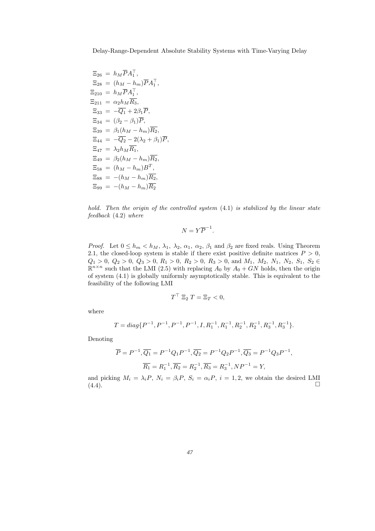$$
\Xi_{26} = h_M \overline{P} A_1^{\top},
$$
\n
$$
\Xi_{28} = (h_M - h_m) \overline{P} A_1^{\top},
$$
\n
$$
\Xi_{210} = h_M \overline{P} A_1^{\top},
$$
\n
$$
\Xi_{211} = \alpha_2 h_M \overline{R_3},
$$
\n
$$
\Xi_{33} = -\overline{Q_1} + 2\beta_1 \overline{P},
$$
\n
$$
\Xi_{34} = (\beta_2 - \beta_1) \overline{P},
$$
\n
$$
\Xi_{39} = \beta_1 (h_M - h_m) \overline{R_2},
$$
\n
$$
\Xi_{44} = -\overline{Q_2} - 2(\lambda_2 + \beta_1) \overline{P},
$$
\n
$$
\Xi_{47} = \lambda_2 h_M \overline{R_1},
$$
\n
$$
\Xi_{49} = \beta_2 (h_M - h_m) \overline{R_2},
$$
\n
$$
\Xi_{58} = (h_M - h_m) \overline{R_2},
$$
\n
$$
\Xi_{99} = -(h_M - h_m) \overline{R_2}
$$

*hold. Then the origin of the controlled system* (4.1) *is stabilized by the linear state feedback* (4.2) *where*

$$
N=Y\overline{P}^{-1}.
$$

*Proof.* Let  $0 \le h_m < h_M$ ,  $\lambda_1$ ,  $\lambda_2$ ,  $\alpha_1$ ,  $\alpha_2$ ,  $\beta_1$  and  $\beta_2$  are fixed reals. Using Theorem 2.1, the closed-loop system is stable if there exist positive definite matrices  $P > 0$ ,  $Q_1 > 0$ ,  $Q_2 > 0$ ,  $Q_3 > 0$ ,  $R_1 > 0$ ,  $R_2 > 0$ ,  $R_3 > 0$ , and  $M_1$ ,  $M_2$ ,  $N_1$ ,  $N_2$ ,  $S_1$ ,  $S_2 \in$  $\mathbb{R}^{n \times n}$  such that the LMI (2.5) with replacing  $A_0$  by  $A_0 + GN$  holds, then the origin of system (4.1) is globally uniformly asymptotically stable. This is equivalent to the feasibility of the following LMI

$$
T^{\top} \ \Xi_2 \ T = \Xi_T < 0,
$$

where

$$
T = diag\{P^{-1}, P^{-1}, P^{-1}, P^{-1}, I, R_1^{-1}, R_1^{-1}, R_2^{-1}, R_2^{-1}, R_3^{-1}, R_3^{-1}\}.
$$

Denoting

$$
\overline{P} = P^{-1}, \overline{Q_1} = P^{-1}Q_1P^{-1}, \overline{Q_2} = P^{-1}Q_2P^{-1}, \overline{Q_3} = P^{-1}Q_3P^{-1},
$$
  

$$
\overline{R_1} = R_1^{-1}, \overline{R_2} = R_2^{-1}, \overline{R_3} = R_3^{-1}, NP^{-1} = Y,
$$

and picking  $M_i = \lambda_i P$ ,  $N_i = \beta_i P$ ,  $S_i = \alpha_i P$ ,  $i = 1, 2$ , we obtain the desired LMI (4.4).  $(4.4).$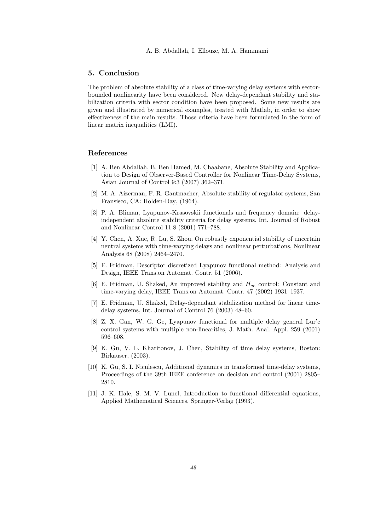## 5. Conclusion

The problem of absolute stability of a class of time-varying delay systems with sectorbounded nonlinearity have been considered. New delay-dependant stability and stabilization criteria with sector condition have been proposed. Some new results are given and illustrated by numerical examples, treated with Matlab, in order to show effectiveness of the main results. Those criteria have been formulated in the form of linear matrix inequalities (LMI).

#### References

- [1] A. Ben Abdallah, B. Ben Hamed, M. Chaabane, Absolute Stability and Application to Design of Observer-Based Controller for Nonlinear Time-Delay Systems, Asian Journal of Control 9:3 (2007) 362–371.
- [2] M. A. Aizerman, F. R. Gantmacher, Absolute stability of regulator systems, San Fransisco, CA: Holden-Day, (1964).
- [3] P. A. Bliman, Lyapunov-Krasovskii functionals and frequency domain: delayindependent absolute stability criteria for delay systems, Int. Journal of Robust and Nonlinear Control 11:8 (2001) 771–788.
- [4] Y. Chen, A. Xue, R. Lu, S. Zhou, On robustly exponential stability of uncertain neutral systems with time-varying delays and nonlinear perturbations, Nonlinear Analysis 68 (2008) 2464–2470.
- [5] E. Fridman, Descriptor discretized Lyapunov functional method: Analysis and Design, IEEE Trans.on Automat. Contr. 51 (2006).
- [6] E. Fridman, U. Shaked, An improved stability and  $H_{\infty}$  control: Constant and time-varying delay, IEEE Trans.on Automat. Contr. 47 (2002) 1931–1937.
- [7] E. Fridman, U. Shaked, Delay-dependant stabilization method for linear timedelay systems, Int. Journal of Control 76 (2003) 48–60.
- [8] Z. X. Gan, W. G. Ge, Lyapunov functional for multiple delay general Lur'e control systems with multiple non-linearities, J. Math. Anal. Appl. 259 (2001) 596–608.
- [9] K. Gu, V. L. Kharitonov, J. Chen, Stability of time delay systems, Boston: Birkauser, (2003).
- [10] K. Gu, S. I. Niculescu, Additional dynamics in transformed time-delay systems, Proceedings of the 39th IEEE conference on decision and control (2001) 2805– 2810.
- [11] J. K. Hale, S. M. V. Lunel, Introduction to functional differential equations, Applied Mathematical Sciences, Springer-Verlag (1993).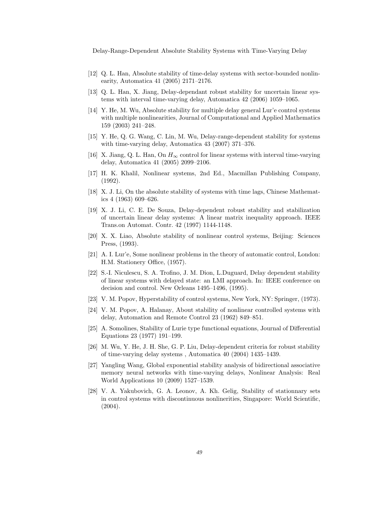- [12] Q. L. Han, Absolute stability of time-delay systems with sector-bounded nonlinearity, Automatica 41 (2005) 2171–2176.
- [13] Q. L. Han, X. Jiang, Delay-dependant robust stability for uncertain linear systems with interval time-varying delay, Automatica 42 (2006) 1059–1065.
- [14] Y. He, M. Wu, Absolute stability for multiple delay general Lur'e control systems with multiple nonlinearities, Journal of Computational and Applied Mathematics 159 (2003) 241–248.
- [15] Y. He, Q. G. Wang, C. Lin, M. Wu, Delay-range-dependent stability for systems with time-varying delay, Automatica 43 (2007) 371–376.
- [16] X. Jiang, Q. L. Han, On  $H_{\infty}$  control for linear systems with interval time-varying delay, Automatica 41 (2005) 2099–2106.
- [17] H. K. Khalil, Nonlinear systems, 2nd Ed., Macmillan Publishing Company, (1992).
- [18] X. J. Li, On the absolute stability of systems with time lags, Chinese Mathematics 4 (1963) 609–626.
- [19] X. J. Li, C. E. De Souza, Delay-dependent robust stability and stabilization of uncertain linear delay systems: A linear matrix inequality approach. IEEE Trans.on Automat. Contr. 42 (1997) 1144-1148.
- [20] X. X. Liao, Absolute stability of nonlinear control systems, Beijing: Sciences Press, (1993).
- [21] A. I. Lur'e, Some nonlinear problems in the theory of automatic control, London: H.M. Stationery Office, (1957).
- [22] S.-I. Niculescu, S. A. Trofino, J. M. Dion, L.Duguard, Delay dependent stability of linear systems with delayed state: an LMI approach. In: IEEE conference on decision and control. New Orleans 1495–1496, (1995).
- [23] V. M. Popov, Hyperstability of control systems, New York, NY: Springer, (1973).
- [24] V. M. Popov, A. Halanay, About stability of nonlinear controlled systems with delay, Automation and Remote Control 23 (1962) 849–851.
- [25] A. Somolines, Stability of Lurie type functional equations, Journal of Differential Equations 23 (1977) 191–199.
- [26] M. Wu, Y. He, J. H. She, G. P. Liu, Delay-dependent criteria for robust stability of time-varying delay systems , Automatica 40 (2004) 1435–1439.
- [27] Yangling Wang, Global exponential stability analysis of bidirectional associative memory neural networks with time-varying delays, Nonlinear Analysis: Real World Applications 10 (2009) 1527–1539.
- [28] V. A. Yakubovich, G. A. Leonov, A. Kh. Gelig, Stability of stationnary sets in control systems with discontinuous nonlinerities, Singapore: World Scientific, (2004).